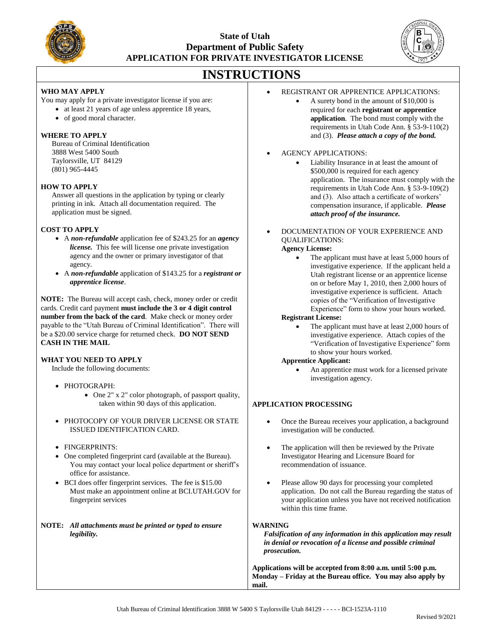

## **State of Utah Department of Public Safety APPLICATION FOR PRIVATE INVESTIGATOR LICENSE**



# **INSTRUCTIONS**

#### **WHO MAY APPLY**

You may apply for a private investigator license if you are:

- at least 21 years of age unless apprentice 18 years,
- of good moral character.

#### **WHERE TO APPLY**

Bureau of Criminal Identification 3888 West 5400 South Taylorsville, UT 84129 (801) 965-4445

#### **HOW TO APPLY**

Answer all questions in the application by typing or clearly printing in ink. Attach all documentation required. The application must be signed.

#### **COST TO APPLY**

- A *non-refundable* application fee of \$243.25 for an *agency license.* This fee will license one private investigation agency and the owner or primary investigator of that agency*.*
- A *non-refundable* application of \$143.25 for a *registrant or apprentice license*.

**NOTE:** The Bureau will accept cash, check, money order or credit cards. Credit card payment **must include the 3 or 4 digit control number from the back of the card**. Make check or money order payable to the "Utah Bureau of Criminal Identification". There will be a \$20.00 service charge for returned check. **DO NOT SEND CASH IN THE MAIL**

#### **WHAT YOU NEED TO APPLY**

Include the following documents:

- PHOTOGRAPH:
	- One 2" x 2" color photograph, of passport quality, taken within 90 days of this application.
- PHOTOCOPY OF YOUR DRIVER LICENSE OR STATE ISSUED IDENTIFICATION CARD.
- FINGERPRINTS:
- One completed fingerprint card (available at the Bureau). You may contact your local police department or sheriff's office for assistance.
- BCI does offer fingerprint services. The fee is \$15.00 Must make an appointment online at BCI.UTAH.GOV for fingerprint services

#### **NOTE:** *All attachments must be printed or typed to ensure legibility.*

- REGISTRANT OR APPRENTICE APPLICATIONS:
	- A surety bond in the amount of \$10,000 is required for each **registrant or apprentice application**. The bond must comply with the requirements in Utah Code Ann. § 53-9-110(2) and (3). *Please attach a copy of the bond.*

#### • AGENCY APPLICATIONS:

- Liability Insurance in at least the amount of \$500,000 is required for each agency application. The insurance must comply with the requirements in Utah Code Ann. § 53-9-109(2) and (3). Also attach a certificate of workers' compensation insurance, if applicable. *Please attach proof of the insurance.*
- DOCUMENTATION OF YOUR EXPERIENCE AND QUALIFICATIONS:

### **Agency License:**

The applicant must have at least 5,000 hours of investigative experience. If the applicant held a Utah registrant license or an apprentice license on or before May 1, 2010, then 2,000 hours of investigative experience is sufficient. Attach copies of the "Verification of Investigative Experience" form to show your hours worked.

#### **Registrant License:**

The applicant must have at least 2,000 hours of investigative experience. Attach copies of the "Verification of Investigative Experience" form to show your hours worked.

#### **Apprentice Applicant:**

An apprentice must work for a licensed private investigation agency.

#### **APPLICATION PROCESSING**

- Once the Bureau receives your application, a background investigation will be conducted.
- The application will then be reviewed by the Private Investigator Hearing and Licensure Board for recommendation of issuance.
- Please allow 90 days for processing your completed application. Do not call the Bureau regarding the status of your application unless you have not received notification within this time frame.

#### **WARNING**

*Falsification of any information in this application may result in denial or revocation of a license and possible criminal prosecution.*

**Applications will be accepted from 8:00 a.m. until 5:00 p.m. Monday – Friday at the Bureau office. You may also apply by mail.**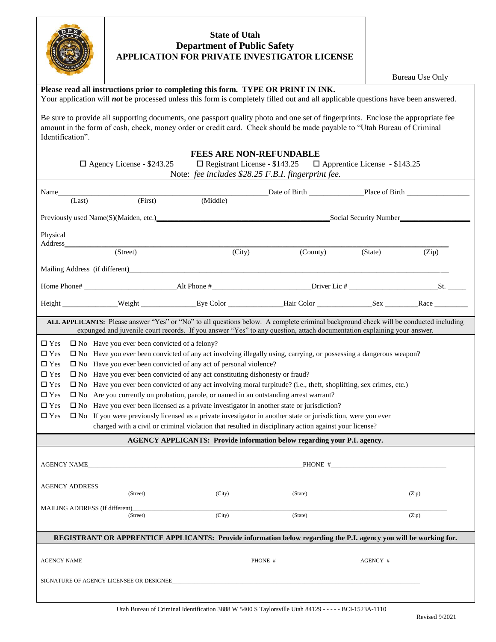

## **State of Utah Department of Public Safety APPLICATION FOR PRIVATE INVESTIGATOR LICENSE**

Bureau Use Only

|                       |                                                                            | Please read all instructions prior to completing this form. TYPE OR PRINT IN INK.<br>Your application will not be processed unless this form is completely filled out and all applicable questions have been answered.                                         |         |          |                  |       |  |  |  |  |  |  |  |  |
|-----------------------|----------------------------------------------------------------------------|----------------------------------------------------------------------------------------------------------------------------------------------------------------------------------------------------------------------------------------------------------------|---------|----------|------------------|-------|--|--|--|--|--|--|--|--|
| Identification".      |                                                                            | Be sure to provide all supporting documents, one passport quality photo and one set of fingerprints. Enclose the appropriate fee<br>amount in the form of cash, check, money order or credit card. Check should be made payable to "Utah Bureau of Criminal    |         |          |                  |       |  |  |  |  |  |  |  |  |
|                       |                                                                            | <b>FEES ARE NON-REFUNDABLE</b>                                                                                                                                                                                                                                 |         |          |                  |       |  |  |  |  |  |  |  |  |
|                       | $\Box$ Agency License - \$243.25                                           | $\Box$ Registrant License - \$143.25 $\Box$ Apprentice License - \$143.25<br>Note: fee includes \$28.25 F.B.I. fingerprint fee.                                                                                                                                |         |          |                  |       |  |  |  |  |  |  |  |  |
| Name                  |                                                                            |                                                                                                                                                                                                                                                                |         |          |                  |       |  |  |  |  |  |  |  |  |
|                       | (First)<br>(Last)                                                          | (Middle)                                                                                                                                                                                                                                                       |         |          |                  |       |  |  |  |  |  |  |  |  |
|                       |                                                                            | Previously used Name(S)(Maiden, etc.) Contact the Contract of the Contract of Social Security Number                                                                                                                                                           |         |          |                  |       |  |  |  |  |  |  |  |  |
| Physical<br>Address_  |                                                                            |                                                                                                                                                                                                                                                                |         |          |                  |       |  |  |  |  |  |  |  |  |
|                       | (Street)                                                                   | (City)                                                                                                                                                                                                                                                         |         | (County) | (State)          | (Zip) |  |  |  |  |  |  |  |  |
|                       | Mailing Address (if different)                                             |                                                                                                                                                                                                                                                                |         |          |                  |       |  |  |  |  |  |  |  |  |
|                       |                                                                            |                                                                                                                                                                                                                                                                |         |          |                  |       |  |  |  |  |  |  |  |  |
|                       |                                                                            | Height Neight Neight Eye Color Hair Color Sex Race Race                                                                                                                                                                                                        |         |          |                  |       |  |  |  |  |  |  |  |  |
|                       |                                                                            | ALL APPLICANTS: Please answer "Yes" or "No" to all questions below. A complete criminal background check will be conducted including<br>expunged and juvenile court records. If you answer "Yes" to any question, attach documentation explaining your answer. |         |          |                  |       |  |  |  |  |  |  |  |  |
| $\square$ Yes         | $\square$ No Have you ever been convicted of a felony?                     |                                                                                                                                                                                                                                                                |         |          |                  |       |  |  |  |  |  |  |  |  |
| $\square$ Yes         |                                                                            | $\square$ No Have you ever been convicted of any act involving illegally using, carrying, or possessing a dangerous weapon?                                                                                                                                    |         |          |                  |       |  |  |  |  |  |  |  |  |
| $\square$ Yes         | $\square$ No Have you ever been convicted of any act of personal violence? |                                                                                                                                                                                                                                                                |         |          |                  |       |  |  |  |  |  |  |  |  |
| $\square$ Yes         |                                                                            | $\square$ No Have you ever been convicted of any act constituting dishonesty or fraud?                                                                                                                                                                         |         |          |                  |       |  |  |  |  |  |  |  |  |
| $\square$ Yes         |                                                                            | $\square$ No Have you ever been convicted of any act involving moral turpitude? (i.e., theft, shoplifting, sex crimes, etc.)                                                                                                                                   |         |          |                  |       |  |  |  |  |  |  |  |  |
| $\square$ Yes         |                                                                            | $\square$ No Are you currently on probation, parole, or named in an outstanding arrest warrant?                                                                                                                                                                |         |          |                  |       |  |  |  |  |  |  |  |  |
| $\square$ Yes         |                                                                            | $\square$ No Have you ever been licensed as a private investigator in another state or jurisdiction?                                                                                                                                                           |         |          |                  |       |  |  |  |  |  |  |  |  |
| $\square$ Yes         |                                                                            | $\square$ No If you were previously licensed as a private investigator in another state or jurisdiction, were you ever<br>charged with a civil or criminal violation that resulted in disciplinary action against your license?                                |         |          |                  |       |  |  |  |  |  |  |  |  |
|                       |                                                                            |                                                                                                                                                                                                                                                                |         |          |                  |       |  |  |  |  |  |  |  |  |
|                       |                                                                            | <b>AGENCY APPLICANTS: Provide information below regarding your P.I. agency.</b>                                                                                                                                                                                |         |          |                  |       |  |  |  |  |  |  |  |  |
| <b>AGENCY NAME</b>    |                                                                            |                                                                                                                                                                                                                                                                |         |          | PHONE #          |       |  |  |  |  |  |  |  |  |
| <b>AGENCY ADDRESS</b> | (Street)                                                                   |                                                                                                                                                                                                                                                                | (State) |          |                  |       |  |  |  |  |  |  |  |  |
|                       |                                                                            | (City)                                                                                                                                                                                                                                                         |         |          |                  | (Zip) |  |  |  |  |  |  |  |  |
|                       | MAILING ADDRESS (If different)<br>(Street)                                 | (City)                                                                                                                                                                                                                                                         | (State) |          |                  | (Zip) |  |  |  |  |  |  |  |  |
|                       |                                                                            | REGISTRANT OR APPRENTICE APPLICANTS: Provide information below regarding the P.I. agency you will be working for.                                                                                                                                              |         |          |                  |       |  |  |  |  |  |  |  |  |
| AGENCY NAME           |                                                                            |                                                                                                                                                                                                                                                                |         |          | PHONE # AGENCY # |       |  |  |  |  |  |  |  |  |
|                       | SIGNATURE OF AGENCY LICENSEE OR DESIGNEE                                   |                                                                                                                                                                                                                                                                |         |          |                  |       |  |  |  |  |  |  |  |  |